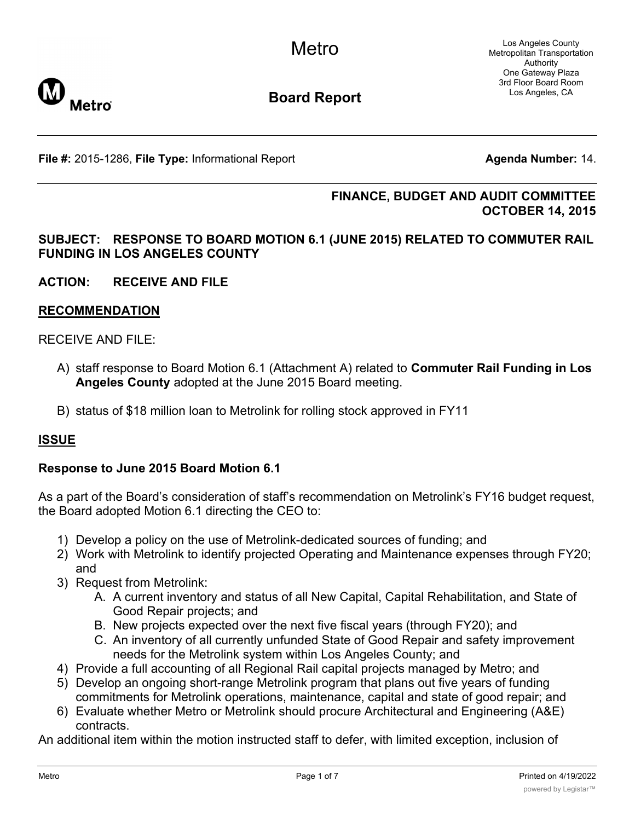Los Angeles County Metropolitan Transportation Authority One Gateway Plaza 3rd Floor Board Room Los Angeles, CA



**Board Report**

**File #:** 2015-1286, File Type: Informational Report **Agents Agenda Number:** 14.

### **FINANCE, BUDGET AND AUDIT COMMITTEE OCTOBER 14, 2015**

### **SUBJECT: RESPONSE TO BOARD MOTION 6.1 (JUNE 2015) RELATED TO COMMUTER RAIL FUNDING IN LOS ANGELES COUNTY**

**ACTION: RECEIVE AND FILE**

### **RECOMMENDATION**

### RECEIVE AND FILE:

- A) staff response to Board Motion 6.1 (Attachment A) related to **Commuter Rail Funding in Los Angeles County** adopted at the June 2015 Board meeting.
- B) status of \$18 million loan to Metrolink for rolling stock approved in FY11

### **ISSUE**

### **Response to June 2015 Board Motion 6.1**

As a part of the Board's consideration of staff's recommendation on Metrolink's FY16 budget request, the Board adopted Motion 6.1 directing the CEO to:

- 1) Develop a policy on the use of Metrolink-dedicated sources of funding; and
- 2) Work with Metrolink to identify projected Operating and Maintenance expenses through FY20; and
- 3) Request from Metrolink:
	- A. A current inventory and status of all New Capital, Capital Rehabilitation, and State of Good Repair projects; and
	- B. New projects expected over the next five fiscal years (through FY20); and
	- C. An inventory of all currently unfunded State of Good Repair and safety improvement needs for the Metrolink system within Los Angeles County; and
- 4) Provide a full accounting of all Regional Rail capital projects managed by Metro; and
- 5) Develop an ongoing short-range Metrolink program that plans out five years of funding commitments for Metrolink operations, maintenance, capital and state of good repair; and
- 6) Evaluate whether Metro or Metrolink should procure Architectural and Engineering (A&E) contracts.

An additional item within the motion instructed staff to defer, with limited exception, inclusion of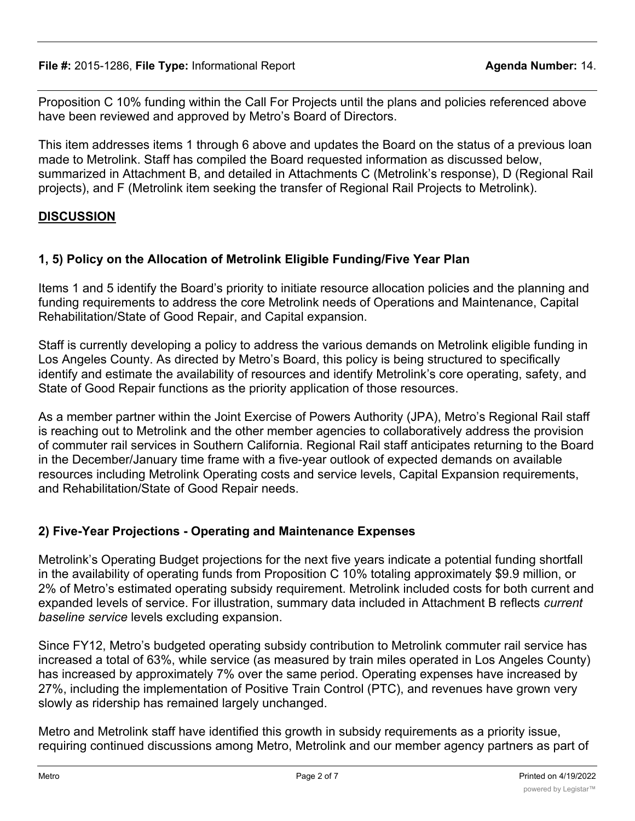**File #:** 2015-1286, File Type: Informational Report **Agent Agent Agenda Number:** 14.

Proposition C 10% funding within the Call For Projects until the plans and policies referenced above have been reviewed and approved by Metro's Board of Directors.

This item addresses items 1 through 6 above and updates the Board on the status of a previous loan made to Metrolink. Staff has compiled the Board requested information as discussed below, summarized in Attachment B, and detailed in Attachments C (Metrolink's response), D (Regional Rail projects), and F (Metrolink item seeking the transfer of Regional Rail Projects to Metrolink).

## **DISCUSSION**

# **1, 5) Policy on the Allocation of Metrolink Eligible Funding/Five Year Plan**

Items 1 and 5 identify the Board's priority to initiate resource allocation policies and the planning and funding requirements to address the core Metrolink needs of Operations and Maintenance, Capital Rehabilitation/State of Good Repair, and Capital expansion.

Staff is currently developing a policy to address the various demands on Metrolink eligible funding in Los Angeles County. As directed by Metro's Board, this policy is being structured to specifically identify and estimate the availability of resources and identify Metrolink's core operating, safety, and State of Good Repair functions as the priority application of those resources.

As a member partner within the Joint Exercise of Powers Authority (JPA), Metro's Regional Rail staff is reaching out to Metrolink and the other member agencies to collaboratively address the provision of commuter rail services in Southern California. Regional Rail staff anticipates returning to the Board in the December/January time frame with a five-year outlook of expected demands on available resources including Metrolink Operating costs and service levels, Capital Expansion requirements, and Rehabilitation/State of Good Repair needs.

# **2) Five-Year Projections - Operating and Maintenance Expenses**

Metrolink's Operating Budget projections for the next five years indicate a potential funding shortfall in the availability of operating funds from Proposition C 10% totaling approximately \$9.9 million, or 2% of Metro's estimated operating subsidy requirement. Metrolink included costs for both current and expanded levels of service. For illustration, summary data included in Attachment B reflects *current baseline service* levels excluding expansion.

Since FY12, Metro's budgeted operating subsidy contribution to Metrolink commuter rail service has increased a total of 63%, while service (as measured by train miles operated in Los Angeles County) has increased by approximately 7% over the same period. Operating expenses have increased by 27%, including the implementation of Positive Train Control (PTC), and revenues have grown very slowly as ridership has remained largely unchanged.

Metro and Metrolink staff have identified this growth in subsidy requirements as a priority issue, requiring continued discussions among Metro, Metrolink and our member agency partners as part of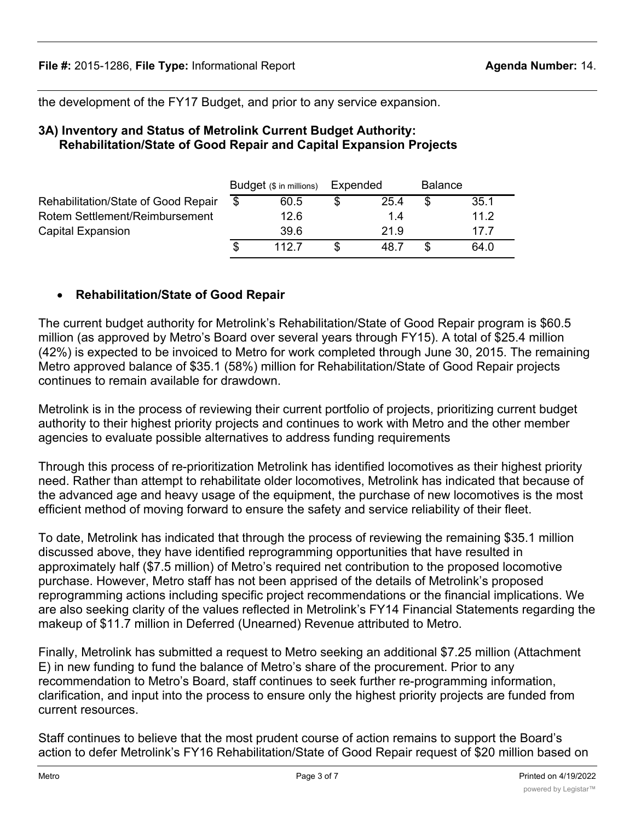the development of the FY17 Budget, and prior to any service expansion.

#### **3A) Inventory and Status of Metrolink Current Budget Authority: Rehabilitation/State of Good Repair and Capital Expansion Projects**

|                                     | Budget (\$ in millions) |       | Expended |      | <b>Balance</b> |      |
|-------------------------------------|-------------------------|-------|----------|------|----------------|------|
| Rehabilitation/State of Good Repair |                         | 60.5  |          | 25.4 |                | 35.1 |
| Rotem Settlement/Reimbursement      |                         | 12.6  |          | 1.4  |                | 11.2 |
| Capital Expansion                   |                         | 39.6  |          | 21.9 |                | 17 7 |
|                                     |                         | 112.7 |          | 48.7 |                | 64.0 |

## · **Rehabilitation/State of Good Repair**

The current budget authority for Metrolink's Rehabilitation/State of Good Repair program is \$60.5 million (as approved by Metro's Board over several years through FY15). A total of \$25.4 million (42%) is expected to be invoiced to Metro for work completed through June 30, 2015. The remaining Metro approved balance of \$35.1 (58%) million for Rehabilitation/State of Good Repair projects continues to remain available for drawdown.

Metrolink is in the process of reviewing their current portfolio of projects, prioritizing current budget authority to their highest priority projects and continues to work with Metro and the other member agencies to evaluate possible alternatives to address funding requirements

Through this process of re-prioritization Metrolink has identified locomotives as their highest priority need. Rather than attempt to rehabilitate older locomotives, Metrolink has indicated that because of the advanced age and heavy usage of the equipment, the purchase of new locomotives is the most efficient method of moving forward to ensure the safety and service reliability of their fleet.

To date, Metrolink has indicated that through the process of reviewing the remaining \$35.1 million discussed above, they have identified reprogramming opportunities that have resulted in approximately half (\$7.5 million) of Metro's required net contribution to the proposed locomotive purchase. However, Metro staff has not been apprised of the details of Metrolink's proposed reprogramming actions including specific project recommendations or the financial implications. We are also seeking clarity of the values reflected in Metrolink's FY14 Financial Statements regarding the makeup of \$11.7 million in Deferred (Unearned) Revenue attributed to Metro.

Finally, Metrolink has submitted a request to Metro seeking an additional \$7.25 million (Attachment E) in new funding to fund the balance of Metro's share of the procurement. Prior to any recommendation to Metro's Board, staff continues to seek further re-programming information, clarification, and input into the process to ensure only the highest priority projects are funded from current resources.

Staff continues to believe that the most prudent course of action remains to support the Board's action to defer Metrolink's FY16 Rehabilitation/State of Good Repair request of \$20 million based on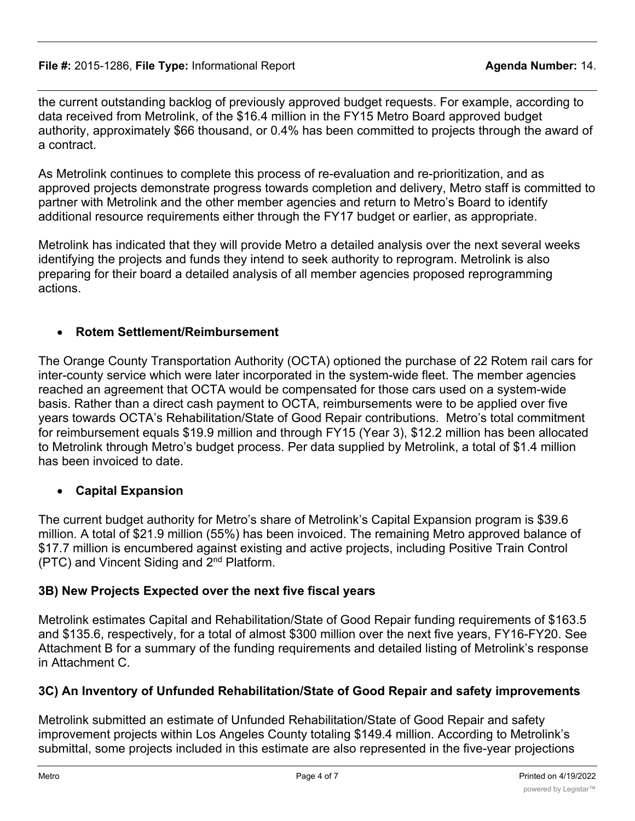the current outstanding backlog of previously approved budget requests. For example, according to data received from Metrolink, of the \$16.4 million in the FY15 Metro Board approved budget authority, approximately \$66 thousand, or 0.4% has been committed to projects through the award of a contract.

As Metrolink continues to complete this process of re-evaluation and re-prioritization, and as approved projects demonstrate progress towards completion and delivery, Metro staff is committed to partner with Metrolink and the other member agencies and return to Metro's Board to identify additional resource requirements either through the FY17 budget or earlier, as appropriate.

Metrolink has indicated that they will provide Metro a detailed analysis over the next several weeks identifying the projects and funds they intend to seek authority to reprogram. Metrolink is also preparing for their board a detailed analysis of all member agencies proposed reprogramming actions.

## · **Rotem Settlement/Reimbursement**

The Orange County Transportation Authority (OCTA) optioned the purchase of 22 Rotem rail cars for inter-county service which were later incorporated in the system-wide fleet. The member agencies reached an agreement that OCTA would be compensated for those cars used on a system-wide basis. Rather than a direct cash payment to OCTA, reimbursements were to be applied over five years towards OCTA's Rehabilitation/State of Good Repair contributions. Metro's total commitment for reimbursement equals \$19.9 million and through FY15 (Year 3), \$12.2 million has been allocated to Metrolink through Metro's budget process. Per data supplied by Metrolink, a total of \$1.4 million has been invoiced to date.

## · **Capital Expansion**

The current budget authority for Metro's share of Metrolink's Capital Expansion program is \$39.6 million. A total of \$21.9 million (55%) has been invoiced. The remaining Metro approved balance of \$17.7 million is encumbered against existing and active projects, including Positive Train Control (PTC) and Vincent Siding and 2nd Platform.

## **3B) New Projects Expected over the next five fiscal years**

Metrolink estimates Capital and Rehabilitation/State of Good Repair funding requirements of \$163.5 and \$135.6, respectively, for a total of almost \$300 million over the next five years, FY16-FY20. See Attachment B for a summary of the funding requirements and detailed listing of Metrolink's response in Attachment C.

# **3C) An Inventory of Unfunded Rehabilitation/State of Good Repair and safety improvements**

Metrolink submitted an estimate of Unfunded Rehabilitation/State of Good Repair and safety improvement projects within Los Angeles County totaling \$149.4 million. According to Metrolink's submittal, some projects included in this estimate are also represented in the five-year projections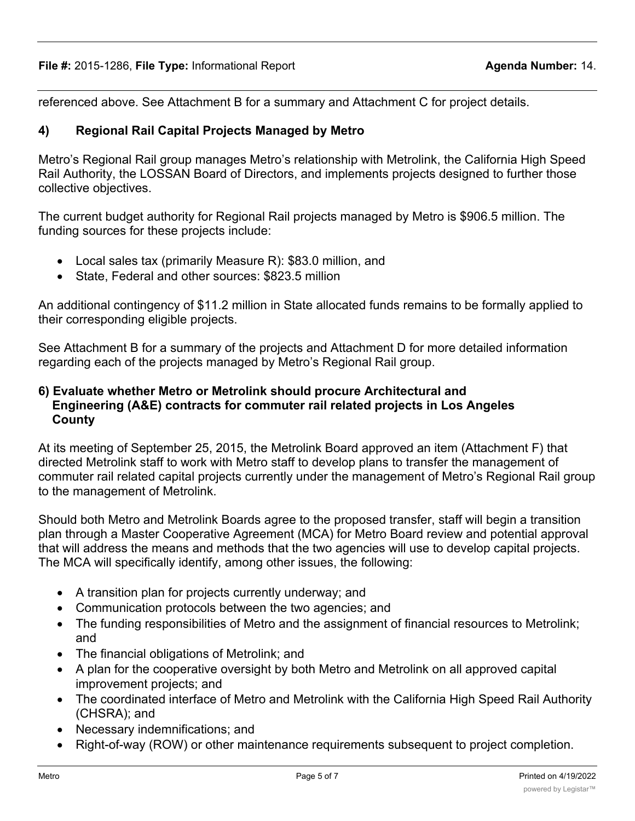referenced above. See Attachment B for a summary and Attachment C for project details.

### **4) Regional Rail Capital Projects Managed by Metro**

Metro's Regional Rail group manages Metro's relationship with Metrolink, the California High Speed Rail Authority, the LOSSAN Board of Directors, and implements projects designed to further those collective objectives.

The current budget authority for Regional Rail projects managed by Metro is \$906.5 million. The funding sources for these projects include:

- Local sales tax (primarily Measure R): \$83.0 million, and
- State, Federal and other sources: \$823.5 million

An additional contingency of \$11.2 million in State allocated funds remains to be formally applied to their corresponding eligible projects.

See Attachment B for a summary of the projects and Attachment D for more detailed information regarding each of the projects managed by Metro's Regional Rail group.

### **6) Evaluate whether Metro or Metrolink should procure Architectural and Engineering (A&E) contracts for commuter rail related projects in Los Angeles County**

At its meeting of September 25, 2015, the Metrolink Board approved an item (Attachment F) that directed Metrolink staff to work with Metro staff to develop plans to transfer the management of commuter rail related capital projects currently under the management of Metro's Regional Rail group to the management of Metrolink.

Should both Metro and Metrolink Boards agree to the proposed transfer, staff will begin a transition plan through a Master Cooperative Agreement (MCA) for Metro Board review and potential approval that will address the means and methods that the two agencies will use to develop capital projects. The MCA will specifically identify, among other issues, the following:

- · A transition plan for projects currently underway; and
- · Communication protocols between the two agencies; and
- · The funding responsibilities of Metro and the assignment of financial resources to Metrolink; and
- · The financial obligations of Metrolink; and
- · A plan for the cooperative oversight by both Metro and Metrolink on all approved capital improvement projects; and
- · The coordinated interface of Metro and Metrolink with the California High Speed Rail Authority (CHSRA); and
- · Necessary indemnifications; and
- · Right-of-way (ROW) or other maintenance requirements subsequent to project completion.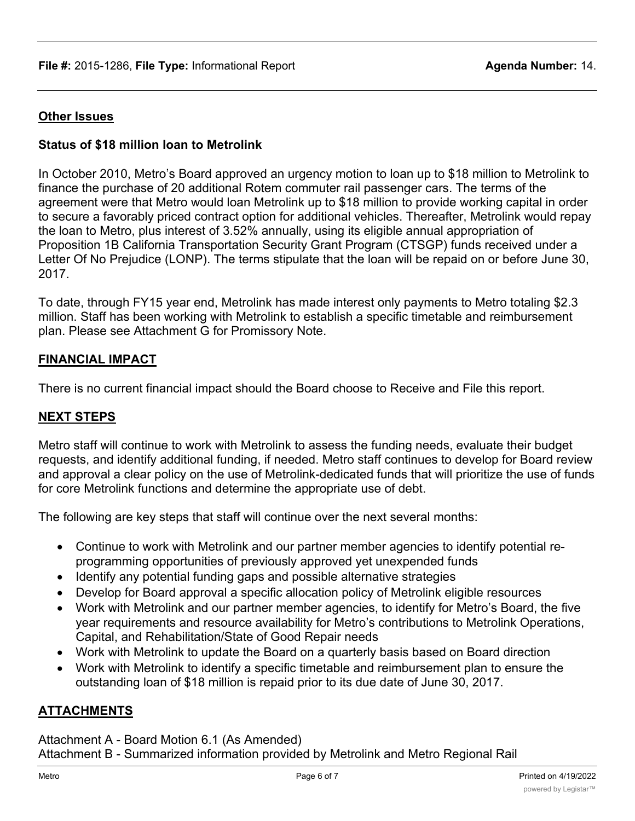### **Other Issues**

### **Status of \$18 million loan to Metrolink**

In October 2010, Metro's Board approved an urgency motion to loan up to \$18 million to Metrolink to finance the purchase of 20 additional Rotem commuter rail passenger cars. The terms of the agreement were that Metro would loan Metrolink up to \$18 million to provide working capital in order to secure a favorably priced contract option for additional vehicles. Thereafter, Metrolink would repay the loan to Metro, plus interest of 3.52% annually, using its eligible annual appropriation of Proposition 1B California Transportation Security Grant Program (CTSGP) funds received under a Letter Of No Prejudice (LONP). The terms stipulate that the loan will be repaid on or before June 30, 2017.

To date, through FY15 year end, Metrolink has made interest only payments to Metro totaling \$2.3 million. Staff has been working with Metrolink to establish a specific timetable and reimbursement plan. Please see Attachment G for Promissory Note.

#### **FINANCIAL IMPACT**

There is no current financial impact should the Board choose to Receive and File this report.

#### **NEXT STEPS**

Metro staff will continue to work with Metrolink to assess the funding needs, evaluate their budget requests, and identify additional funding, if needed. Metro staff continues to develop for Board review and approval a clear policy on the use of Metrolink-dedicated funds that will prioritize the use of funds for core Metrolink functions and determine the appropriate use of debt.

The following are key steps that staff will continue over the next several months:

- · Continue to work with Metrolink and our partner member agencies to identify potential reprogramming opportunities of previously approved yet unexpended funds
- · Identify any potential funding gaps and possible alternative strategies
- · Develop for Board approval a specific allocation policy of Metrolink eligible resources
- · Work with Metrolink and our partner member agencies, to identify for Metro's Board, the five year requirements and resource availability for Metro's contributions to Metrolink Operations, Capital, and Rehabilitation/State of Good Repair needs
- · Work with Metrolink to update the Board on a quarterly basis based on Board direction
- · Work with Metrolink to identify a specific timetable and reimbursement plan to ensure the outstanding loan of \$18 million is repaid prior to its due date of June 30, 2017.

### **ATTACHMENTS**

Attachment A - Board Motion 6.1 (As Amended) Attachment B - Summarized information provided by Metrolink and Metro Regional Rail